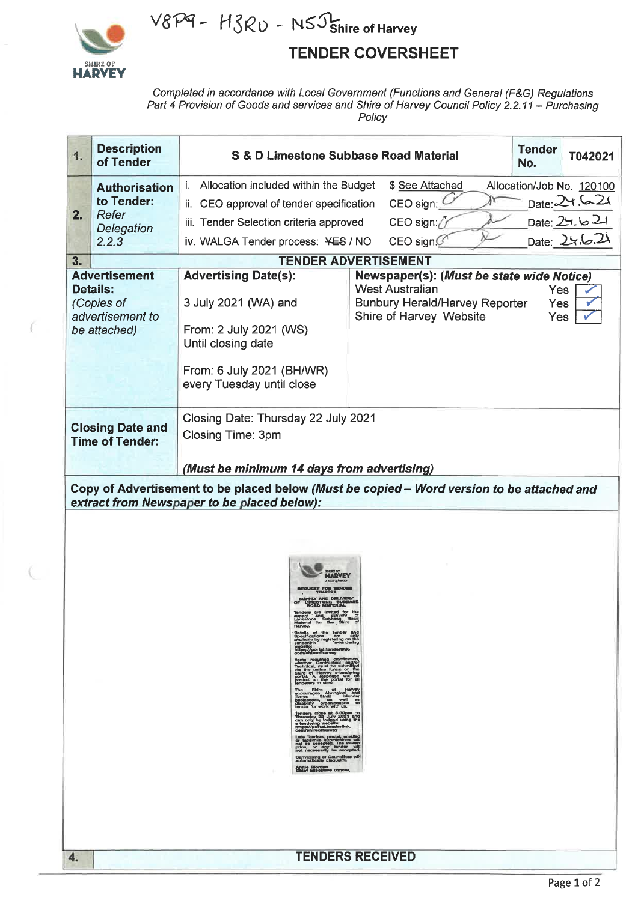

# V8P9 - H3RU - N5J shire of Harvey

### **TENDER COVERSHEET**

Completed in accordance with Local Government (Functions and General (F&G) Regulations<br>Part 4 Provision of Goods and services and Shire of Harvey Council Policy 2.2.11 - Purchasing Policy

| 1.                                                | <b>Description</b><br>of Tender                                                                                                                                                                                                                                                                                                                                                                                                                                                                                                                                                                                                                                                                                                                                                                                                                                                                                                                                                                                                                                                                                                                   | S & D Limestone Subbase Road Material                                                      | <b>Tender</b><br>No.                                                                       | T042021                         |                                             |  |  |  |
|---------------------------------------------------|---------------------------------------------------------------------------------------------------------------------------------------------------------------------------------------------------------------------------------------------------------------------------------------------------------------------------------------------------------------------------------------------------------------------------------------------------------------------------------------------------------------------------------------------------------------------------------------------------------------------------------------------------------------------------------------------------------------------------------------------------------------------------------------------------------------------------------------------------------------------------------------------------------------------------------------------------------------------------------------------------------------------------------------------------------------------------------------------------------------------------------------------------|--------------------------------------------------------------------------------------------|--------------------------------------------------------------------------------------------|---------------------------------|---------------------------------------------|--|--|--|
| 2.                                                | <b>Authorisation</b><br>to Tender:<br>Refer<br>Delegation<br>2.2.3                                                                                                                                                                                                                                                                                                                                                                                                                                                                                                                                                                                                                                                                                                                                                                                                                                                                                                                                                                                                                                                                                | i. Allocation included within the Budget<br>ii. CEO approval of tender specification       | \$ See Attached<br>CEO sign:                                                               |                                 | Allocation/Job No. 120100<br>Date: $24.621$ |  |  |  |
|                                                   |                                                                                                                                                                                                                                                                                                                                                                                                                                                                                                                                                                                                                                                                                                                                                                                                                                                                                                                                                                                                                                                                                                                                                   | iii. Tender Selection criteria approved                                                    | CEO sign: $\ell$                                                                           |                                 |                                             |  |  |  |
|                                                   |                                                                                                                                                                                                                                                                                                                                                                                                                                                                                                                                                                                                                                                                                                                                                                                                                                                                                                                                                                                                                                                                                                                                                   | iv. WALGA Tender process: YES / NO                                                         | CEO sign $G$                                                                               |                                 | Date: 27.621<br>Date: 27.6.21               |  |  |  |
| 3.                                                |                                                                                                                                                                                                                                                                                                                                                                                                                                                                                                                                                                                                                                                                                                                                                                                                                                                                                                                                                                                                                                                                                                                                                   |                                                                                            | <b>TENDER ADVERTISEMENT</b>                                                                |                                 |                                             |  |  |  |
|                                                   | <b>Advertisement</b>                                                                                                                                                                                                                                                                                                                                                                                                                                                                                                                                                                                                                                                                                                                                                                                                                                                                                                                                                                                                                                                                                                                              | <b>Advertising Date(s):</b>                                                                | Newspaper(s): (Must be state wide Notice)                                                  |                                 |                                             |  |  |  |
|                                                   | <b>Details:</b><br>(Copies of<br>advertisement to                                                                                                                                                                                                                                                                                                                                                                                                                                                                                                                                                                                                                                                                                                                                                                                                                                                                                                                                                                                                                                                                                                 | 3 July 2021 (WA) and                                                                       | <b>West Australian</b><br><b>Bunbury Herald/Harvey Reporter</b><br>Shire of Harvey Website | <b>Yes</b><br>Yes<br><b>Yes</b> |                                             |  |  |  |
| be attached)                                      |                                                                                                                                                                                                                                                                                                                                                                                                                                                                                                                                                                                                                                                                                                                                                                                                                                                                                                                                                                                                                                                                                                                                                   | From: 2 July 2021 (WS)<br>Until closing date                                               |                                                                                            |                                 |                                             |  |  |  |
|                                                   |                                                                                                                                                                                                                                                                                                                                                                                                                                                                                                                                                                                                                                                                                                                                                                                                                                                                                                                                                                                                                                                                                                                                                   | From: 6 July 2021 (BH/WR)<br>every Tuesday until close                                     |                                                                                            |                                 |                                             |  |  |  |
| <b>Closing Date and</b><br><b>Time of Tender:</b> |                                                                                                                                                                                                                                                                                                                                                                                                                                                                                                                                                                                                                                                                                                                                                                                                                                                                                                                                                                                                                                                                                                                                                   | Closing Date: Thursday 22 July 2021<br>Closing Time: 3pm                                   |                                                                                            |                                 |                                             |  |  |  |
|                                                   |                                                                                                                                                                                                                                                                                                                                                                                                                                                                                                                                                                                                                                                                                                                                                                                                                                                                                                                                                                                                                                                                                                                                                   | (Must be minimum 14 days from advertising)                                                 |                                                                                            |                                 |                                             |  |  |  |
|                                                   |                                                                                                                                                                                                                                                                                                                                                                                                                                                                                                                                                                                                                                                                                                                                                                                                                                                                                                                                                                                                                                                                                                                                                   | Copy of Advertisement to be placed below (Must be copied - Word version to be attached and |                                                                                            |                                 |                                             |  |  |  |
|                                                   |                                                                                                                                                                                                                                                                                                                                                                                                                                                                                                                                                                                                                                                                                                                                                                                                                                                                                                                                                                                                                                                                                                                                                   | extract from Newspaper to be placed below):                                                |                                                                                            |                                 |                                             |  |  |  |
|                                                   | supply and delivery of<br>Limestone Subbase Road<br>Material for the Shire of<br>Harvey.<br>Details of the Tender and<br>Specifications are only<br>available by registering on the<br>Tenderlink 'e-tendering<br>website:<br>https://portal.tenderlink.<br>com/shireofharvey<br>items requiring clarification,<br>whether Contractual and/or<br>Technical, must be submitted<br>via the online forum on the<br>Shire of Harvey e-tendering<br>portal. A response will be<br>contoid on the portal for all<br>tenderers to view.<br>The Shire of Harvey<br>percourages Aboriginal and<br>forms Straht Islander<br>businesses, as well as<br>disability organizations to<br>tender for work with us.<br>Tenders close at 3.00pm on<br>Thursday 22 July 2021 and<br>can only be lodged using the<br>standing website:<br>https://portal.benderlink.<br>com/shireofharvey<br>Late Tenders, postal, emailed<br>or faceimile submissions will<br>not be accepted. The lowest<br>price, or any 'bander, will<br>not necessarily be accepted.<br>Canvassing of Councillors will<br>automatically disquality.<br>Annie Riordan<br>Chiat Executive Offices |                                                                                            |                                                                                            |                                 |                                             |  |  |  |
| 4.                                                |                                                                                                                                                                                                                                                                                                                                                                                                                                                                                                                                                                                                                                                                                                                                                                                                                                                                                                                                                                                                                                                                                                                                                   |                                                                                            | <b>TENDERS RECEIVED</b>                                                                    |                                 |                                             |  |  |  |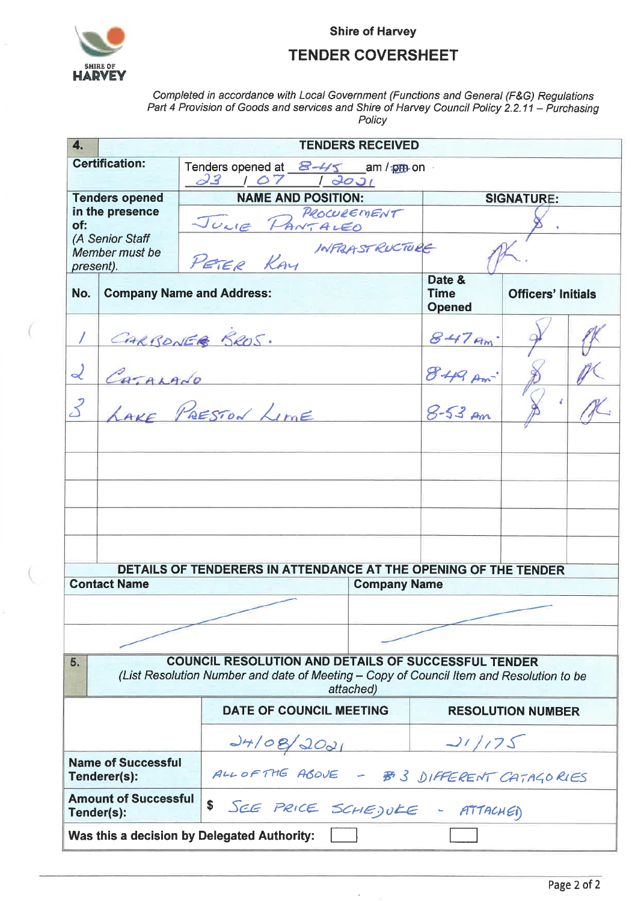

**Shire of Harvey** 

#### **TENDER COVERSHEET**

Completed in accordance with Local Government (Functions and General (F&G) Regulations<br>Part 4 Provision of Goods and services and Shire of Harvey Council Policy 2.2.11 – Purchasing Policy

| 4.                                                                                                |                                           |                                                                                                                                                       | <b>TENDERS RECEIVED</b>                                                                |                                         |                           |  |  |
|---------------------------------------------------------------------------------------------------|-------------------------------------------|-------------------------------------------------------------------------------------------------------------------------------------------------------|----------------------------------------------------------------------------------------|-----------------------------------------|---------------------------|--|--|
|                                                                                                   | <b>Certification:</b>                     | Tenders opened at $\frac{8-4\sqrt{5}}{1}$ am / pm on $\frac{32}{1}$ / $\frac{0}{0}$ / $\frac{1}{0}$ / $\frac{0}{0}$ /                                 |                                                                                        |                                         |                           |  |  |
|                                                                                                   |                                           |                                                                                                                                                       |                                                                                        |                                         |                           |  |  |
| <b>Tenders opened</b><br>in the presence<br>of:<br>(A Senior Staff<br>Member must be<br>present). |                                           |                                                                                                                                                       | <b>NAME AND POSITION:</b><br>PROCUREMENT<br>JULIE PANTALEO<br>PETER KAY INFRASTRUCTURE |                                         | <b>SIGNATURE:</b>         |  |  |
|                                                                                                   |                                           |                                                                                                                                                       |                                                                                        |                                         |                           |  |  |
| No.                                                                                               |                                           | <b>Company Name and Address:</b>                                                                                                                      |                                                                                        | Date &<br><b>Time</b><br><b>Opened</b>  | <b>Officers' Initials</b> |  |  |
|                                                                                                   |                                           | CARBONER SROS.                                                                                                                                        |                                                                                        | $847$ Am                                |                           |  |  |
| CATALADO<br>$\mathcal{L}$                                                                         |                                           |                                                                                                                                                       |                                                                                        | $849 \text{ Am}^3$<br>$8-53 \text{ Am}$ |                           |  |  |
| $\mathcal{Z}$                                                                                     | LAVE PRESTON LIME                         |                                                                                                                                                       |                                                                                        |                                         |                           |  |  |
|                                                                                                   |                                           |                                                                                                                                                       |                                                                                        |                                         |                           |  |  |
|                                                                                                   |                                           |                                                                                                                                                       |                                                                                        |                                         |                           |  |  |
|                                                                                                   |                                           |                                                                                                                                                       |                                                                                        |                                         |                           |  |  |
|                                                                                                   |                                           |                                                                                                                                                       |                                                                                        |                                         |                           |  |  |
|                                                                                                   |                                           | DETAILS OF TENDERERS IN ATTENDANCE AT THE OPENING OF THE TENDER                                                                                       |                                                                                        |                                         |                           |  |  |
|                                                                                                   | <b>Contact Name</b>                       |                                                                                                                                                       | <b>Company Name</b>                                                                    |                                         |                           |  |  |
|                                                                                                   |                                           |                                                                                                                                                       |                                                                                        |                                         |                           |  |  |
|                                                                                                   |                                           |                                                                                                                                                       |                                                                                        |                                         |                           |  |  |
| 5.                                                                                                |                                           | <b>COUNCIL RESOLUTION AND DETAILS OF SUCCESSFUL TENDER</b><br>(List Resolution Number and date of Meeting - Copy of Council Item and Resolution to be | attached)                                                                              |                                         |                           |  |  |
| DATE OF COUNCIL MEETING                                                                           |                                           |                                                                                                                                                       |                                                                                        | <b>RESOLUTION NUMBER</b>                |                           |  |  |
|                                                                                                   |                                           | 24/08/2021                                                                                                                                            |                                                                                        | 21/175                                  |                           |  |  |
|                                                                                                   | <b>Name of Successful</b><br>Tenderer(s): | ALLOFTHE ABOVE - #3 DIFFERENT CATAGORIES                                                                                                              |                                                                                        |                                         |                           |  |  |
|                                                                                                   | <b>Amount of Successful</b><br>Tender(s): | \$<br>SEE PRICE SCHEJULE - ATTACHED                                                                                                                   |                                                                                        |                                         |                           |  |  |
|                                                                                                   |                                           | Was this a decision by Delegated Authority:                                                                                                           |                                                                                        |                                         |                           |  |  |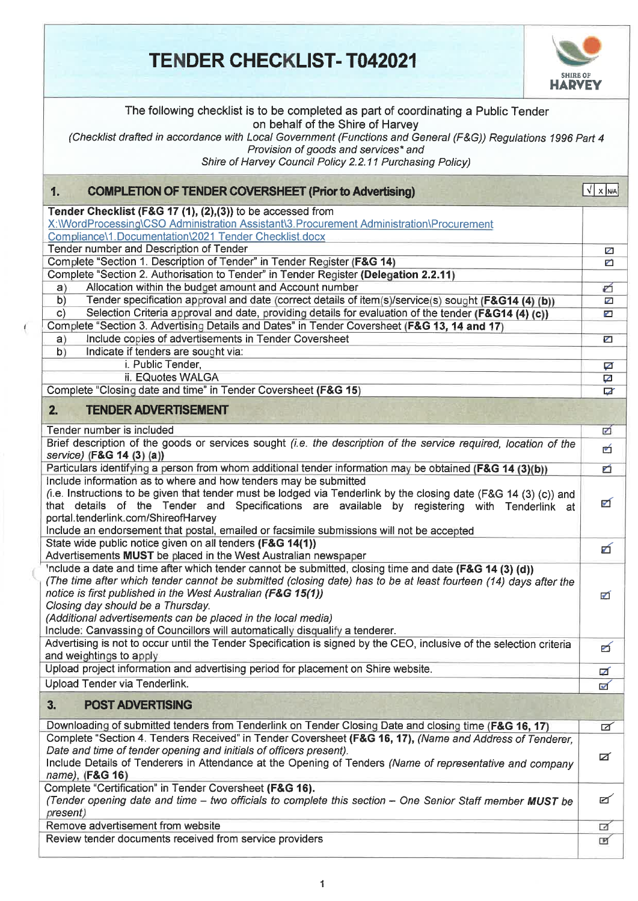## **, TENDER CHECKLIST-T042021**



| The following checklist is to be completed as part of coordinating a Public Tender<br>on behalf of the Shire of Harvey<br>(Checklist drafted in accordance with Local Government (Functions and General (F&G)) Regulations 1996 Part 4<br>Provision of goods and services* and<br>Shire of Harvey Council Policy 2.2.11 Purchasing Policy)                                                                                                                                     |                |
|--------------------------------------------------------------------------------------------------------------------------------------------------------------------------------------------------------------------------------------------------------------------------------------------------------------------------------------------------------------------------------------------------------------------------------------------------------------------------------|----------------|
| <b>COMPLETION OF TENDER COVERSHEET (Prior to Advertising)</b><br>1.                                                                                                                                                                                                                                                                                                                                                                                                            | $\sqrt{x}$ $x$ |
| Tender Checklist (F&G 17 (1), (2),(3)) to be accessed from                                                                                                                                                                                                                                                                                                                                                                                                                     |                |
| X:\\VordProcessing\CSO Administration Assistant\3.Procurement Administration\Procurement                                                                                                                                                                                                                                                                                                                                                                                       |                |
| Compliance\1. Documentation\2021 Tender Checklist.docx                                                                                                                                                                                                                                                                                                                                                                                                                         |                |
| Tender number and Description of Tender                                                                                                                                                                                                                                                                                                                                                                                                                                        | Z              |
| Complete "Section 1. Description of Tender" in Tender Register (F&G 14)<br>Complete "Section 2. Authorisation to Tender" in Tender Register (Delegation 2.2.11)                                                                                                                                                                                                                                                                                                                | ▱              |
| Allocation within the budget amount and Account number<br>a)                                                                                                                                                                                                                                                                                                                                                                                                                   | ó              |
| Tender specification approval and date (correct details of item(s)/service(s) sought (F&G14 (4) (b))<br>b)                                                                                                                                                                                                                                                                                                                                                                     | V              |
| Selection Criteria approval and date, providing details for evaluation of the tender (F&G14 (4) (c))<br>$\mathsf{C}$                                                                                                                                                                                                                                                                                                                                                           | ø              |
| Complete "Section 3. Advertising Details and Dates" in Tender Coversheet (F&G 13, 14 and 17)                                                                                                                                                                                                                                                                                                                                                                                   |                |
| Include copies of advertisements in Tender Coversheet<br>a)                                                                                                                                                                                                                                                                                                                                                                                                                    | ☑              |
| Indicate if tenders are sought via:<br>b)                                                                                                                                                                                                                                                                                                                                                                                                                                      |                |
| i. Public Tender,                                                                                                                                                                                                                                                                                                                                                                                                                                                              | ☑              |
| ii. EQuotes WALGA                                                                                                                                                                                                                                                                                                                                                                                                                                                              | Ø              |
| Complete "Closing date and time" in Tender Coversheet (F&G 15)                                                                                                                                                                                                                                                                                                                                                                                                                 | Z              |
| <b>TENDER ADVERTISEMENT</b><br>2.                                                                                                                                                                                                                                                                                                                                                                                                                                              |                |
| Tender number is included                                                                                                                                                                                                                                                                                                                                                                                                                                                      | ø              |
| Brief description of the goods or services sought (i.e. the description of the service required, location of the<br>service) (F&G 14 (3) (a))                                                                                                                                                                                                                                                                                                                                  | 凾              |
| Particulars identifying a person from whom additional tender information may be obtained (F&G 14 (3)(b))                                                                                                                                                                                                                                                                                                                                                                       | б              |
| Include information as to where and how tenders may be submitted<br>(i.e. Instructions to be given that tender must be lodged via Tenderlink by the closing date (F&G 14 (3) (c)) and<br>that details of the Tender and Specifications are available by registering with Tenderlink at<br>portal.tenderlink.com/ShireofHarvey<br>Include an endorsement that postal, emailed or facsimile submissions will not be accepted                                                     | Ø              |
| State wide public notice given on all tenders (F&G 14(1))<br>Advertisements MUST be placed in the West Australian newspaper                                                                                                                                                                                                                                                                                                                                                    | б              |
| 'nclude a date and time after which tender cannot be submitted, closing time and date (F&G 14 (3) (d))<br>(The time after which tender cannot be submitted (closing date) has to be at least fourteen (14) days after the<br>notice is first published in the West Australian (F&G 15(1))<br>Closing day should be a Thursday.<br>(Additional advertisements can be placed in the local media)<br>Include: Canvassing of Councillors will automatically disqualify a tenderer. | ☑              |
| Advertising is not to occur until the Tender Specification is signed by the CEO, inclusive of the selection criteria<br>and weightings to apply                                                                                                                                                                                                                                                                                                                                | ø              |
| Upload project information and advertising period for placement on Shire website.                                                                                                                                                                                                                                                                                                                                                                                              | ☑              |
| Upload Tender via Tenderlink.                                                                                                                                                                                                                                                                                                                                                                                                                                                  | $\blacksquare$ |
| <b>POST ADVERTISING</b><br>3.                                                                                                                                                                                                                                                                                                                                                                                                                                                  |                |
| Downloading of submitted tenders from Tenderlink on Tender Closing Date and closing time (F&G 16, 17)                                                                                                                                                                                                                                                                                                                                                                          | ☑              |
| Complete "Section 4. Tenders Received" in Tender Coversheet (F&G 16, 17), (Name and Address of Tenderer,<br>Date and time of tender opening and initials of officers present).<br>Include Details of Tenderers in Attendance at the Opening of Tenders (Name of representative and company<br>name), (F&G 16)                                                                                                                                                                  | ø              |
| Complete "Certification" in Tender Coversheet (F&G 16).<br>(Tender opening date and time - two officials to complete this section - One Senior Staff member MUST be<br>present)                                                                                                                                                                                                                                                                                                | ☑              |
| Remove advertisement from website                                                                                                                                                                                                                                                                                                                                                                                                                                              | ☑              |
| Review tender documents received from service providers                                                                                                                                                                                                                                                                                                                                                                                                                        | 回              |

T)